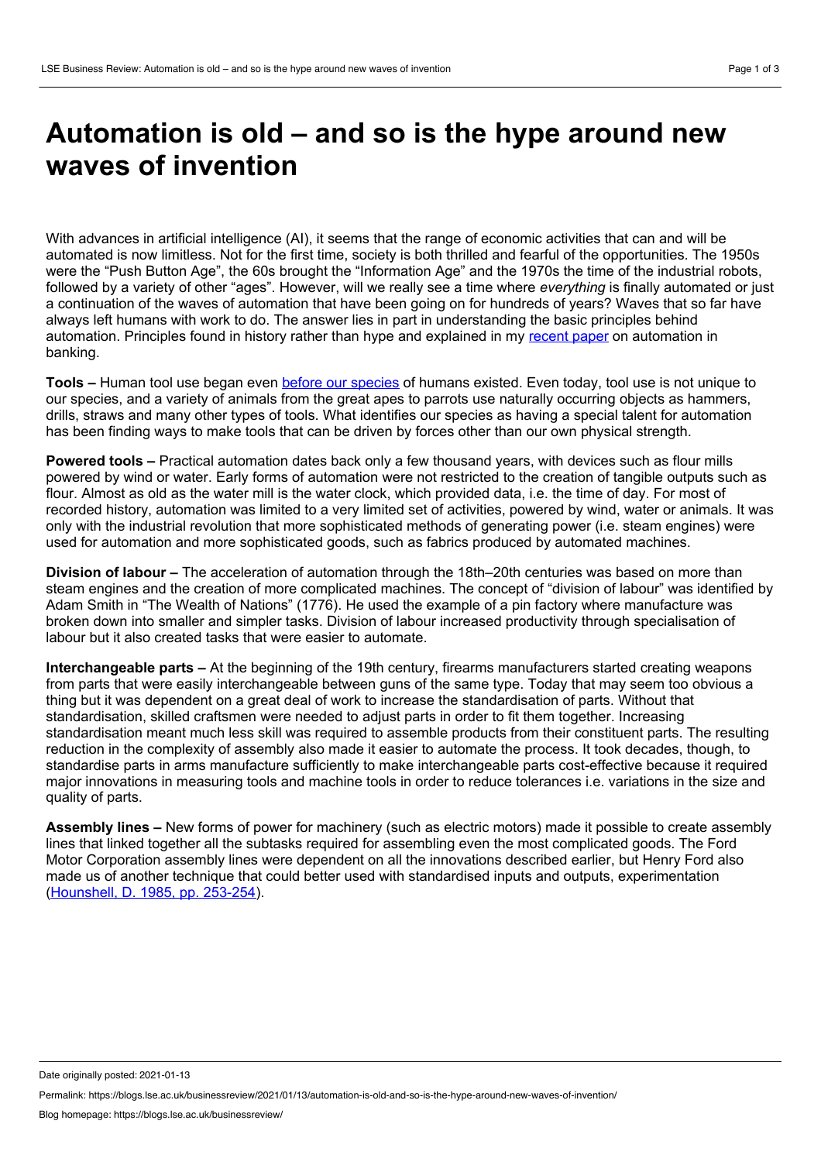## **Automation is old – and so is the hype around new waves of invention**

With advances in artificial intelligence (AI), it seems that the range of economic activities that can and will be automated is now limitless. Not for the first time, society is both thrilled and fearful of the opportunities. The 1950s were the "Push Button Age", the 60s brought the "Information Age" and the 1970s the time of the industrial robots, followed by a variety of other "ages". However, will we really see a time where *everything* is finally automated or just a continuation of the waves of automation that have been going on for hundreds of years? Waves that so far have always left humans with work to do. The answer lies in part in understanding the basic principles behind automation. Principles found in history rather than hype and explained in my [recent](https://www.henrystewartpublications.com/jsoc/v12) paper on automation in banking.

**Tools –** Human tool use began even before our [species](https://www.nature.com/articles/nature14464) of humans existed. Even today, tool use is not unique to our species, and a variety of animals from the great apes to parrots use naturally occurring objects as hammers, drills, straws and many other types of tools. What identifies our species as having a special talent for automation has been finding ways to make tools that can be driven by forces other than our own physical strength.

**Powered tools –** Practical automation dates back only a few thousand years, with devices such as flour mills powered by wind or water. Early forms of automation were not restricted to the creation of tangible outputs such as flour. Almost as old as the water mill is the water clock, which provided data, i.e. the time of day. For most of recorded history, automation was limited to a very limited set of activities, powered by wind, water or animals. It was only with the industrial revolution that more sophisticated methods of generating power (i.e. steam engines) were used for automation and more sophisticated goods, such as fabrics produced by automated machines.

**Division of labour –** The acceleration of automation through the 18th–20th centuries was based on more than steam engines and the creation of more complicated machines. The concept of "division of labour" was identified by Adam Smith in "The Wealth of Nations" (1776). He used the example of a pin factory where manufacture was broken down into smaller and simpler tasks. Division of labour increased productivity through specialisation of labour but it also created tasks that were easier to automate.

**Interchangeable parts –** At the beginning of the 19th century, firearms manufacturers started creating weapons from parts that were easily interchangeable between guns of the same type. Today that may seem too obvious a thing but it was dependent on a great deal of work to increase the standardisation of parts. Without that standardisation, skilled craftsmen were needed to adjust parts in order to fit them together. Increasing standardisation meant much less skill was required to assemble products from their constituent parts. The resulting reduction in the complexity of assembly also made it easier to automate the process. It took decades, though, to standardise parts in arms manufacture sufficiently to make interchangeable parts cost-effective because it required major innovations in measuring tools and machine tools in order to reduce tolerances i.e. variations in the size and quality of parts.

**Assembly lines –** New forms of power for machinery (such as electric motors) made it possible to create assembly lines that linked together all the subtasks required for assembling even the most complicated goods. The Ford Motor Corporation assembly lines were dependent on all the innovations described earlier, but Henry Ford also made us of another technique that could better used with standardised inputs and outputs, experimentation ([Hounshell,](https://www.amazon.co.uk/American-system-mass-production-1800-1932/dp/B00072QWYO) D. 1985, pp. 253-254).

Date originally posted: 2021-01-13

Permalink: https://blogs.lse.ac.uk/businessreview/2021/01/13/automation-is-old-and-so-is-the-hype-around-new-waves-of-invention/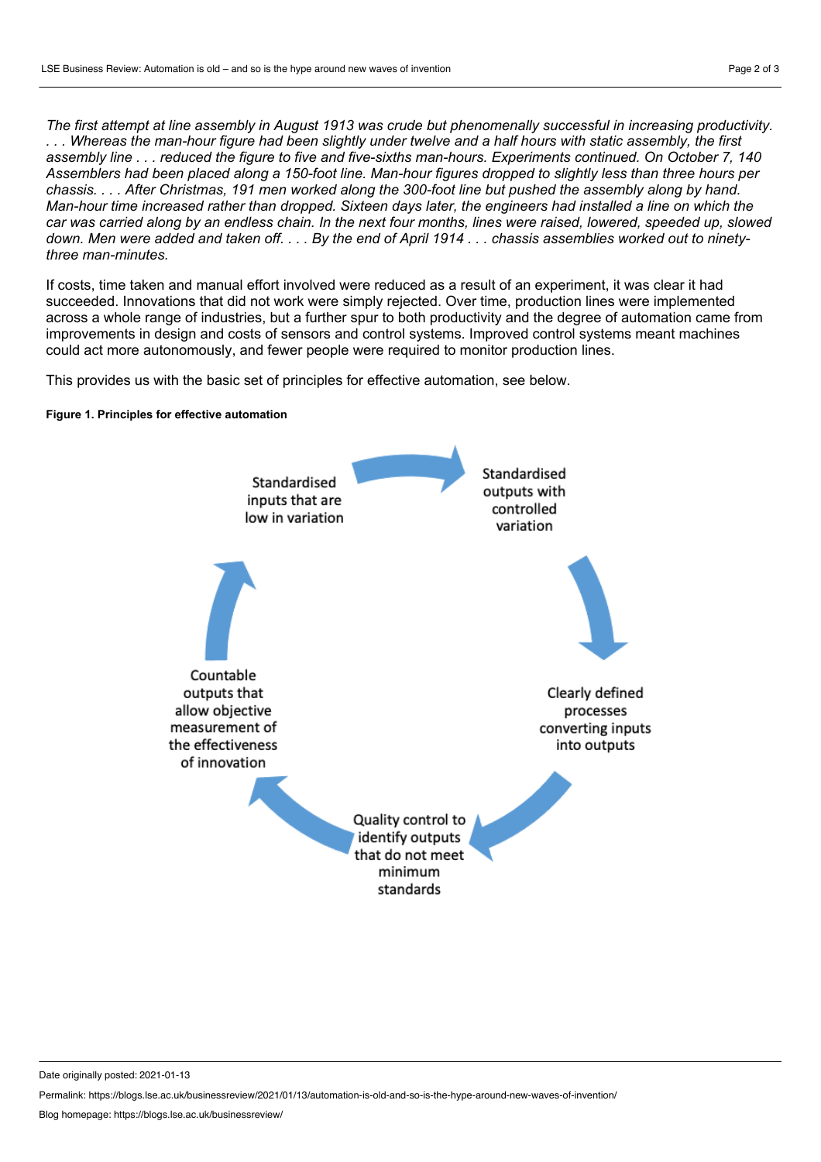The first attempt at line assembly in August 1913 was crude but phenomenally successful in increasing productivity. ... Whereas the man-hour figure had been slightly under twelve and a half hours with static assembly, the first assembly line . . . reduced the figure to five and five-sixths man-hours. Experiments continued. On October 7, 140 Assemblers had been placed along a 150-foot line. Man-hour figures dropped to slightly less than three hours per chassis.... After Christmas, 191 men worked along the 300-foot line but pushed the assembly along by hand. Man-hour time increased rather than dropped. Sixteen days later, the engineers had installed a line on which the car was carried along by an endless chain. In the next four months, lines were raised, lowered, speeded up, slowed down. Men were added and taken off. . . . By the end of April 1914 . . . chassis assemblies worked out to ninety*three man-minutes.*

If costs, time taken and manual effort involved were reduced as a result of an experiment, it was clear it had succeeded. Innovations that did not work were simply rejected. Over time, production lines were implemented across a whole range of industries, but a further spur to both productivity and the degree of automation came from improvements in design and costs of sensors and control systems. Improved control systems meant machines could act more autonomously, and fewer people were required to monitor production lines.

This provides us with the basic set of principles for effective automation, see below.

## **Figure 1. Principles for effective automation**



Date originally posted: 2021-01-13

Permalink: https://blogs.lse.ac.uk/businessreview/2021/01/13/automation-is-old-and-so-is-the-hype-around-new-waves-of-invention/